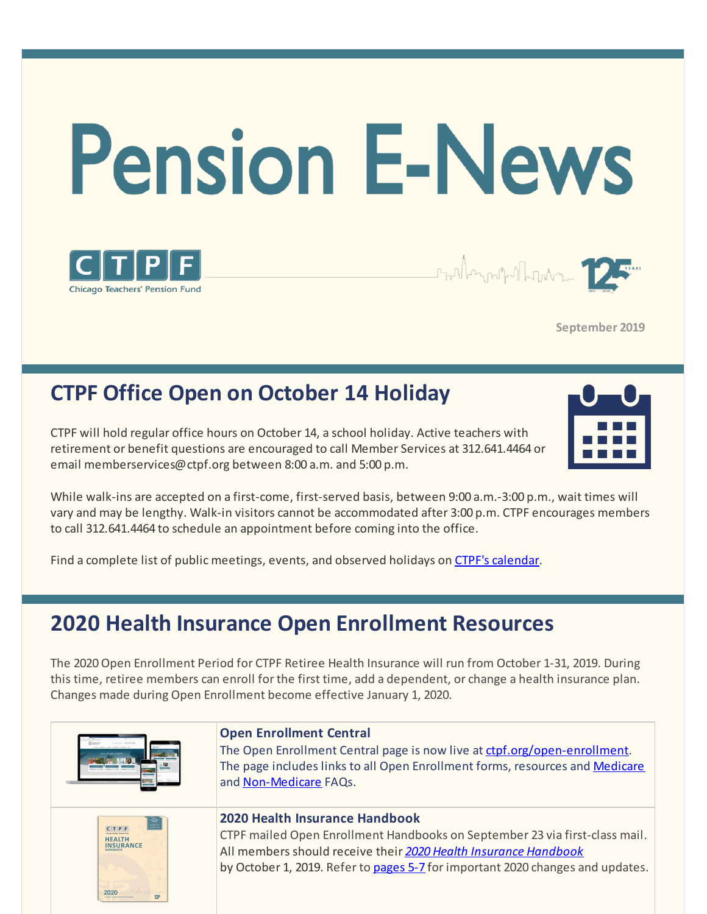



# **CTPF Office Open on October 14 Holiday**

**Chicago Teachers' Pension Fund** 

CTPF will hold regular office hours on October 14, a school holiday. Active teachers with retirement or benefit questions are encouraged to call Member Services at 312.641.4464 or email memberservices@ctpf.org between 8:00 a.m. and 5:00 p.m.



While walk-ins are accepted on a first-come, first-served basis, between 9:00 a.m.-3:00 p.m., wait times will vary and may be lengthy. Walk-in visitors cannot be accommodated after 3:00 p.m. CTPF encourages members to call 312.641.4464 to schedule an appointment before coming into the office.

Find a complete list of public meetings, events, and observed holidays on [CTPF's calendar](https://www.ctpf.org/calendar).

### **2020 Health Insurance Open Enrollment Resources**

The 2020 Open Enrollment Period for CTPF Retiree Health Insurance will run from October 1-31, 2019. During this time, retiree members can enroll for the first time, add a dependent, or change a health insurance plan. Changes made during Open Enrollment become effective January 1, 2020.

|                                           | <b>Open Enrollment Central</b><br>The Open Enrollment Central page is now live at ctpf.org/open-enrollment.<br>The page includes links to all Open Enrollment forms, resources and Medicare<br>and Non-Medicare FAQs.                                                     |
|-------------------------------------------|---------------------------------------------------------------------------------------------------------------------------------------------------------------------------------------------------------------------------------------------------------------------------|
| CTPF<br><b>HEALTH</b><br><b>INSURANCE</b> | <b>2020 Health Insurance Handbook</b><br>CTPF mailed Open Enrollment Handbooks on September 23 via first-class mail.<br>All members should receive their 2020 Health Insurance Handbook<br>by October 1, 2019. Refer to pages 5-7 for important 2020 changes and updates. |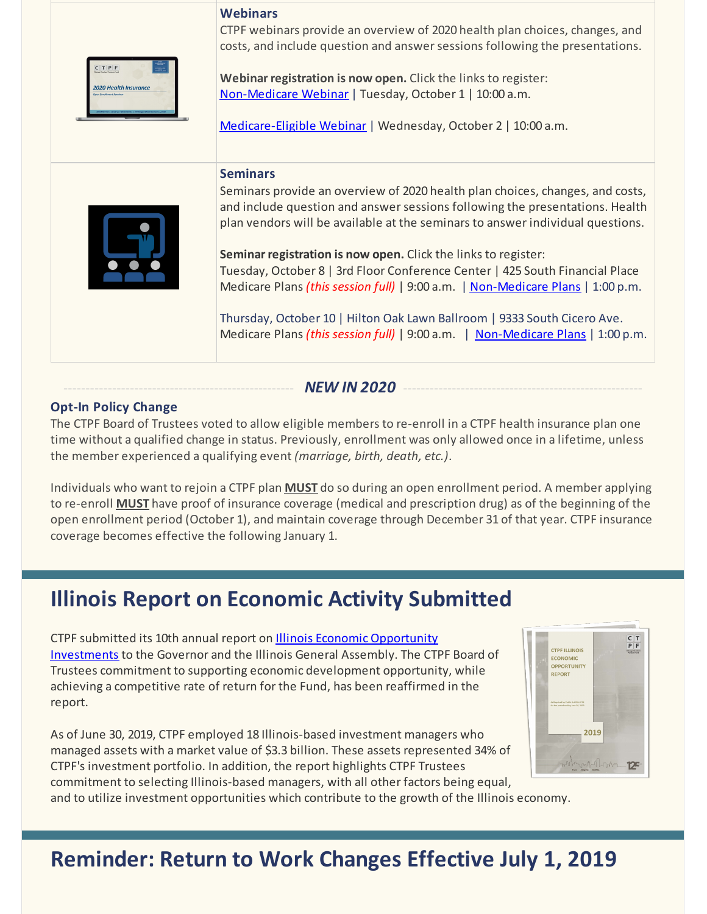| CTPF<br>2020 Health Insurance | <b>Webinars</b><br>CTPF webinars provide an overview of 2020 health plan choices, changes, and<br>costs, and include question and answer sessions following the presentations.<br>Webinar registration is now open. Click the links to register:<br>Non-Medicare Webinar   Tuesday, October 1   10:00 a.m.<br>Medicare-Eligible Webinar   Wednesday, October 2   10:00 a.m.                                                                                                                                                                                                                                                                                            |
|-------------------------------|------------------------------------------------------------------------------------------------------------------------------------------------------------------------------------------------------------------------------------------------------------------------------------------------------------------------------------------------------------------------------------------------------------------------------------------------------------------------------------------------------------------------------------------------------------------------------------------------------------------------------------------------------------------------|
|                               | <b>Seminars</b><br>Seminars provide an overview of 2020 health plan choices, changes, and costs,<br>and include question and answer sessions following the presentations. Health<br>plan vendors will be available at the seminars to answer individual questions.<br>Seminar registration is now open. Click the links to register:<br>Tuesday, October 8   3rd Floor Conference Center   425 South Financial Place<br>Medicare Plans (this session full)   9:00 a.m.   Non-Medicare Plans   1:00 p.m.<br>Thursday, October 10   Hilton Oak Lawn Ballroom   9333 South Cicero Ave.<br>Medicare Plans (this session full)   9:00 a.m.   Non-Medicare Plans   1:00 p.m. |

#### NEW IN 2020

#### **Opt-In Policy Change**

The CTPF Board of Trustees voted to allow eligible members to re-enroll in a CTPF health insurance plan one time without a qualified change in status. Previously, enrollment was only allowed once in a lifetime, unless the member experienced a qualifying event *(marriage, birth, death, etc.)*.

Individuals who want to rejoin a CTPF plan **MUST** do so during an open enrollment period. A member applying to re-enroll **MUST** have proof of insurance coverage (medical and prescription drug) as of the beginning of the open enrollment period (October 1), and maintain coverage through December 31 of that year. CTPF insurance coverage becomes effective the following January 1.

### **Illinois Report on Economic Activity Submitted**

CTPF submitted its 10th annual report on **Illinois Economic Opportunity** Investments to the Governor and the Illinois General Assembly. The CTPF Board of Trustees commitment to supporting economic development opportunity, while achieving a competitive rate of return for the Fund, has been reaffirmed in the report.

As of June 30, 2019, CTPF employed 18 Illinois-based investment managers who managed assets with a market value of \$3.3 billion. These assets represented 34% of CTPF's investment portfolio. In addition, the report highlights CTPF Trustees commitment to selecting Illinois-based managers, with all other factors being equal,

and to utilize investment opportunities which contribute to the growth of the Illinois economy.



# **Reminder: Return to Work Changes Effective July 1, 2019**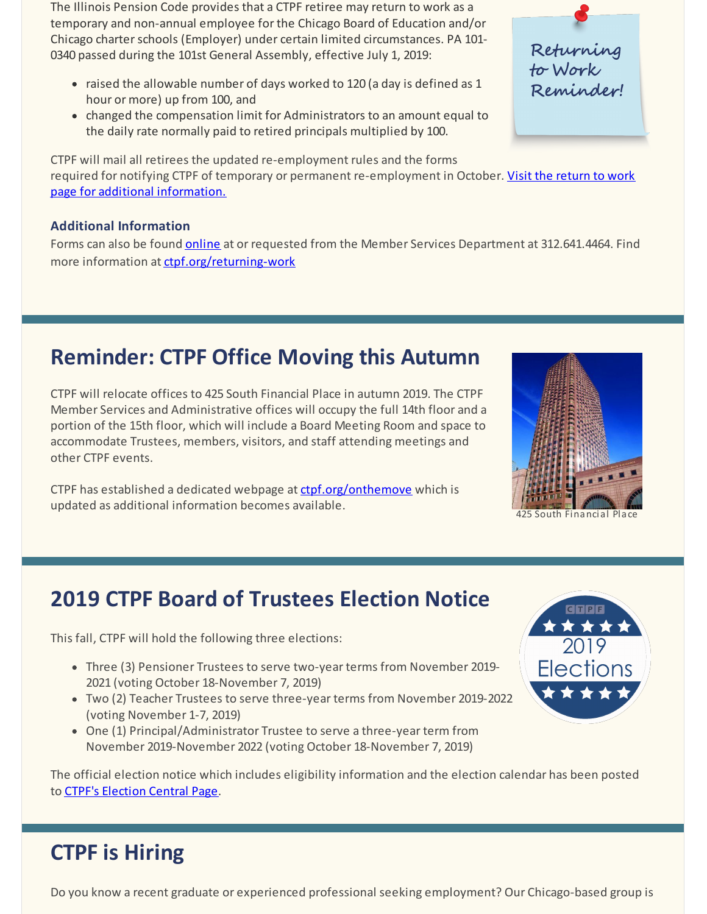The Illinois Pension Code provides that a CTPF retiree may return to work as a temporary and non-annual employee for the Chicago Board of Education and/or Chicago charterschools (Employer) under certain limited circumstances. PA 101- 0340 passed during the 101st General Assembly, effective July 1, 2019:

- raised the allowable number of days worked to 120 (a day is defined as 1 hour or more) up from 100, and
- changed the compensation limit for Administrators to an amount equal to the daily rate normally paid to retired principals multiplied by 100.

CTPF will mail all retirees the updated re-employment rules and the forms required for notifying CTPF of temporary or permanent [re-employment](https://www.ctpf.org/returning-work) in October. Visit the return to work page for additional information.

#### **Additional Information**

Forms can also be found **[online](https://www.ctpf.org/returning-work)** at or requested from the Member Services Department at 312.641.4464. Find more information at [ctpf.org/returning-work](https://www.ctpf.org/returning-work)

# **Reminder: CTPF Office Moving this Autumn**

CTPF will relocate offices to 425 South Financial Place in autumn 2019. The CTPF Member Services and Administrative offices will occupy the full 14th floor and a portion of the 15th floor, which will include a Board Meeting Room and space to accommodate Trustees, members, visitors, and staff attending meetings and other CTPF events.

CTPF has established a dedicated webpage at [ctpf.org/onthemove](https://www.ctpf.org/onthemove) which is updated as additional information becomes available.



425 South Financial Place

# **2019 CTPF Board of Trustees Election Notice**

This fall, CTPF will hold the following three elections:

- Three (3) Pensioner Trustees to serve two-year terms from November 2019- 2021 (voting October 18-November 7, 2019)
- Two (2) Teacher Trustees to serve three-year terms from November 2019-2022 (voting November 1-7, 2019)
- One (1) Principal/Administrator Trustee to serve a three-year term from November 2019-November 2022 (voting October 18-November 7, 2019)

2019 **Elections** \*\*\*\*

The official election notice which includes eligibility information and the election calendar has been posted to CTPF's [Election](https://www.ctpf.org/2019-election-central) Central Page.

# **CTPF is Hiring**

Do you know a recent graduate or experienced professional seeking employment? Our Chicago-based group is

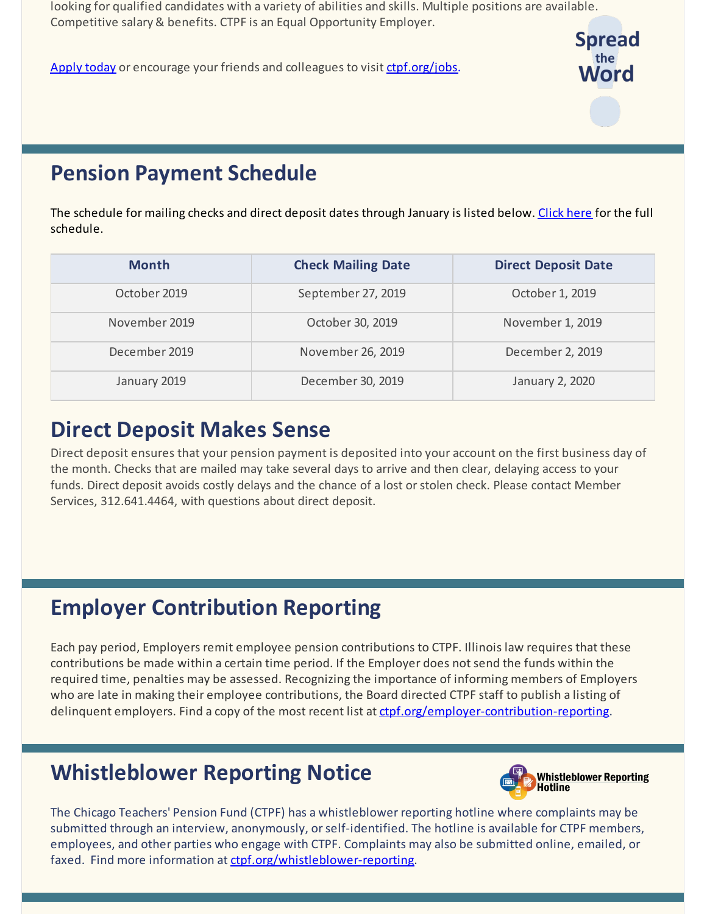looking for qualified candidates with a variety of abilities and skills. Multiple positions are available. Competitive salary & benefits. CTPF is an Equal Opportunity Employer.

[Apply today](https://bit.ly/2IpJhUF) or encourage your friends and colleagues to visit [ctpf.org/jobs](http://www.ctpf.org/jobs).



# **Pension Payment Schedule**

The schedule for mailing checks and direct deposit dates through January is listed below. [Click here](https://www.ctpf.org/pension-payments) for the full schedule.

| <b>Month</b>  | <b>Check Mailing Date</b> | <b>Direct Deposit Date</b> |
|---------------|---------------------------|----------------------------|
| October 2019  | September 27, 2019        | October 1, 2019            |
| November 2019 | October 30, 2019          | November 1, 2019           |
| December 2019 | November 26, 2019         | December 2, 2019           |
| January 2019  | December 30, 2019         | January 2, 2020            |

### **Direct Deposit Makes Sense**

Direct deposit ensures that your pension payment is deposited into your account on the first business day of the month. Checks that are mailed may take several days to arrive and then clear, delaying access to your funds. Direct deposit avoids costly delays and the chance of a lost or stolen check. Please contact Member [Services, 312.641.4464, with questions about direct](https://www.ctpf.org/sites/main/files/file-attachments/form_425_direct_deposit.pdf) deposit.

# **Employer Contribution Reporting**

Each pay period, Employers remit employee pension contributions to CTPF. Illinois law requires that these contributions be made within a certain time period. If the Employer does not send the funds within the required time, penalties may be assessed. Recognizing the importance of informing members of Employers who are late in making their employee contributions, the Board directed CTPF staff to publish a listing of delinquent employers. Find a copy of the most recent list at [ctpf.org/employer-contribution-reporting](http://www.ctpf.org/employer-contribution-reporting).

### **Whistleblower Reporting Notice**



The Chicago Teachers' Pension Fund (CTPF) has a whistleblower reporting hotline where complaints may be submitted through an interview, anonymously, or self-identified. The hotline is available for CTPF members, employees, and other parties who engage with CTPF. Complaints may also be submitted online, emailed, or faxed. Find more information at [ctpf.org/whistleblower-reporting](http://ctpf.org/whistleblower-reporting).